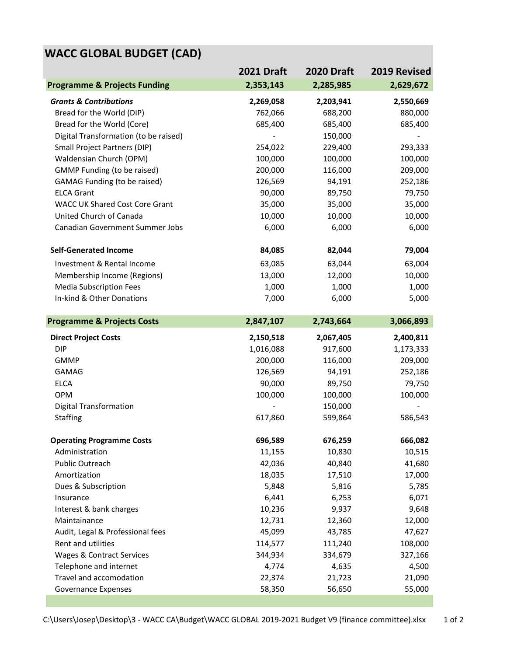## **WACC GLOBAL BUDGET (CAD)**

|                                         | <b>2021 Draft</b> | <b>2020 Draft</b> | 2019 Revised |
|-----------------------------------------|-------------------|-------------------|--------------|
| <b>Programme &amp; Projects Funding</b> | 2,353,143         | 2,285,985         | 2,629,672    |
| <b>Grants &amp; Contributions</b>       | 2,269,058         | 2,203,941         | 2,550,669    |
| Bread for the World (DIP)               | 762,066           | 688,200           | 880,000      |
| Bread for the World (Core)              | 685,400           | 685,400           | 685,400      |
| Digital Transformation (to be raised)   |                   | 150,000           |              |
| Small Project Partners (DIP)            | 254,022           | 229,400           | 293,333      |
| Waldensian Church (OPM)                 | 100,000           | 100,000           | 100,000      |
| <b>GMMP Funding (to be raised)</b>      | 200,000           | 116,000           | 209,000      |
| <b>GAMAG Funding (to be raised)</b>     | 126,569           | 94,191            | 252,186      |
| <b>ELCA Grant</b>                       | 90,000            | 89,750            | 79,750       |
| <b>WACC UK Shared Cost Core Grant</b>   | 35,000            | 35,000            | 35,000       |
| United Church of Canada                 | 10,000            | 10,000            | 10,000       |
| Canadian Government Summer Jobs         | 6,000             | 6,000             | 6,000        |
| <b>Self-Generated Income</b>            | 84,085            | 82,044            | 79,004       |
| Investment & Rental Income              | 63,085            | 63,044            | 63,004       |
| Membership Income (Regions)             | 13,000            | 12,000            | 10,000       |
| <b>Media Subscription Fees</b>          | 1,000             | 1,000             | 1,000        |
| In-kind & Other Donations               | 7,000             | 6,000             | 5,000        |
|                                         |                   |                   |              |
| <b>Programme &amp; Projects Costs</b>   | 2,847,107         | 2,743,664         | 3,066,893    |
| <b>Direct Project Costs</b>             | 2,150,518         | 2,067,405         | 2,400,811    |
| <b>DIP</b>                              | 1,016,088         | 917,600           | 1,173,333    |
| <b>GMMP</b>                             | 200,000           | 116,000           | 209,000      |
| <b>GAMAG</b>                            | 126,569           | 94,191            | 252,186      |
| <b>ELCA</b>                             | 90,000            | 89,750            | 79,750       |
| OPM                                     | 100,000           | 100,000           | 100,000      |
| <b>Digital Transformation</b>           |                   | 150,000           |              |
| <b>Staffing</b>                         | 617,860           | 599,864           | 586,543      |
| <b>Operating Programme Costs</b>        | 696,589           | 676,259           | 666,082      |
| Administration                          | 11,155            | 10,830            | 10,515       |
| Public Outreach                         | 42,036            | 40,840            | 41,680       |
| Amortization                            | 18,035            | 17,510            | 17,000       |
| Dues & Subscription                     | 5,848             | 5,816             | 5,785        |
| Insurance                               | 6,441             | 6,253             | 6,071        |
| Interest & bank charges                 | 10,236            | 9,937             | 9,648        |
| Maintainance                            | 12,731            | 12,360            | 12,000       |
| Audit, Legal & Professional fees        | 45,099            | 43,785            | 47,627       |
| Rent and utilities                      | 114,577           | 111,240           | 108,000      |
| Wages & Contract Services               | 344,934           | 334,679           | 327,166      |
| Telephone and internet                  | 4,774             | 4,635             | 4,500        |
| Travel and accomodation                 | 22,374            | 21,723            | 21,090       |
| Governance Expenses                     | 58,350            | 56,650            | 55,000       |